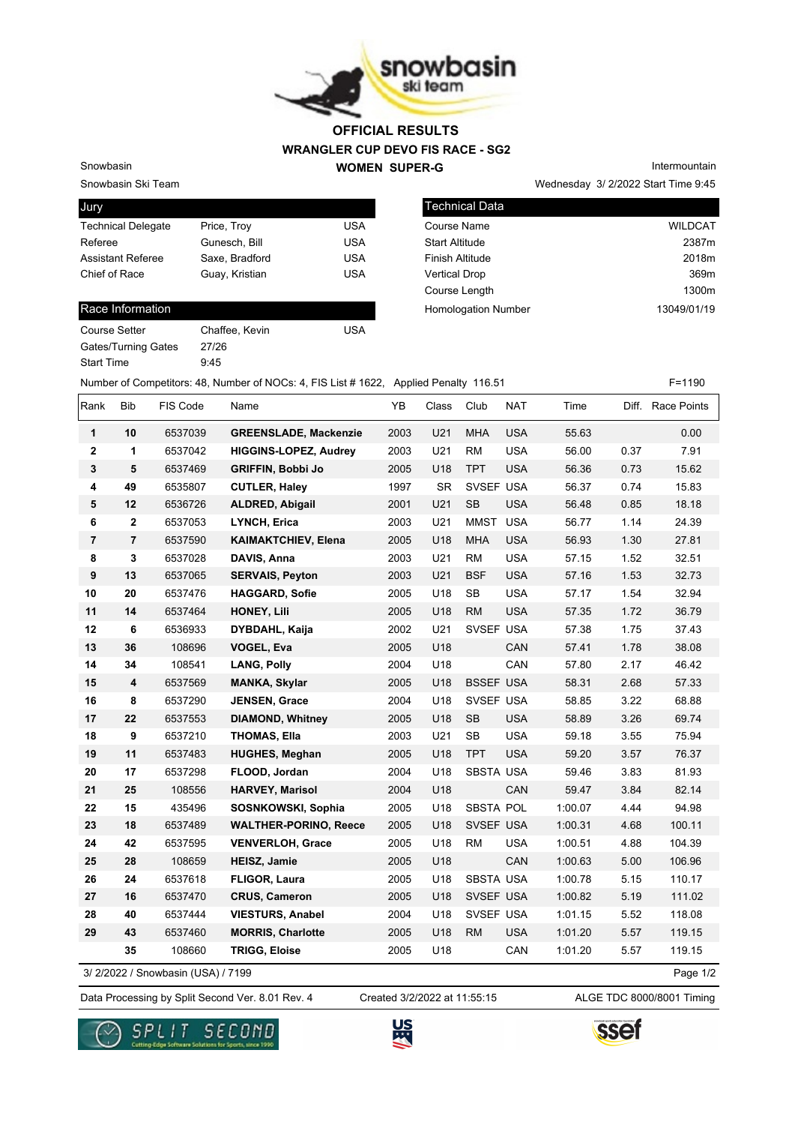

## **WRANGLER CUP DEVO FIS RACE - SG2 WOMEN SUPER-G OFFICIAL RESULTS**

Snowbasin Ski Team Snowbasin

| Jury                      |                |            |
|---------------------------|----------------|------------|
| <b>Technical Delegate</b> | Price, Troy    | USA        |
| Referee                   | Gunesch, Bill  | USA        |
| <b>Assistant Referee</b>  | Saxe, Bradford | USA        |
| Chief of Race             | Guay, Kristian | <b>USA</b> |
|                           |                |            |

### Race Information

| Course Setter              | Chaffee, Kevin | USA |
|----------------------------|----------------|-----|
| <b>Gates/Turning Gates</b> | 27/26          |     |
| <b>Start Time</b>          | 9.45           |     |

Wednesday 3/ 2/2022 Start Time 9:45 Technical Data Course Name WILDCAT Start Altitude 2387m Finish Altitude 2018m

Vertical Drop 369m Course Length **1300m** 

Homologation Number 13049/01/19

Intermountain

| haffee. Kevin | <b>USA</b> |
|---------------|------------|

Number of Competitors: 48, Number of NOCs: 4, FIS List # 1622, Applied Penalty 116.51 F=1190

| Rank           | Bib            | FIS Code                          | Name                         | YB   | Class     | Club             | <b>NAT</b> | Time    |      | Diff. Race Points |
|----------------|----------------|-----------------------------------|------------------------------|------|-----------|------------------|------------|---------|------|-------------------|
| 1              | 10             | 6537039                           | <b>GREENSLADE, Mackenzie</b> | 2003 | U21       | <b>MHA</b>       | <b>USA</b> | 55.63   |      | 0.00              |
| $\mathbf 2$    | 1              | 6537042                           | <b>HIGGINS-LOPEZ, Audrey</b> | 2003 | U21       | <b>RM</b>        | <b>USA</b> | 56.00   | 0.37 | 7.91              |
| $\mathbf 3$    | 5              | 6537469                           | <b>GRIFFIN, Bobbi Jo</b>     | 2005 | U18       | <b>TPT</b>       | <b>USA</b> | 56.36   | 0.73 | 15.62             |
| 4              | 49             | 6535807                           | <b>CUTLER, Haley</b>         | 1997 | <b>SR</b> | SVSEF USA        |            | 56.37   | 0.74 | 15.83             |
| 5              | 12             | 6536726                           | <b>ALDRED, Abigail</b>       | 2001 | U21       | SB               | <b>USA</b> | 56.48   | 0.85 | 18.18             |
| 6              | $\mathbf 2$    | 6537053                           | <b>LYNCH, Erica</b>          | 2003 | U21       | <b>MMST</b>      | <b>USA</b> | 56.77   | 1.14 | 24.39             |
| $\overline{7}$ | $\overline{7}$ | 6537590                           | <b>KAIMAKTCHIEV, Elena</b>   | 2005 | U18       | <b>MHA</b>       | <b>USA</b> | 56.93   | 1.30 | 27.81             |
| 8              | 3              | 6537028                           | DAVIS, Anna                  | 2003 | U21       | <b>RM</b>        | <b>USA</b> | 57.15   | 1.52 | 32.51             |
| 9              | 13             | 6537065                           | <b>SERVAIS, Peyton</b>       | 2003 | U21       | <b>BSF</b>       | <b>USA</b> | 57.16   | 1.53 | 32.73             |
| 10             | 20             | 6537476                           | <b>HAGGARD, Sofie</b>        | 2005 | U18       | SB               | <b>USA</b> | 57.17   | 1.54 | 32.94             |
| 11             | 14             | 6537464                           | <b>HONEY, Lili</b>           | 2005 | U18       | <b>RM</b>        | <b>USA</b> | 57.35   | 1.72 | 36.79             |
| 12             | 6              | 6536933                           | DYBDAHL, Kaija               | 2002 | U21       | SVSEF USA        |            | 57.38   | 1.75 | 37.43             |
| 13             | 36             | 108696                            | <b>VOGEL, Eva</b>            | 2005 | U18       |                  | CAN        | 57.41   | 1.78 | 38.08             |
| 14             | 34             | 108541                            | <b>LANG, Polly</b>           | 2004 | U18       |                  | CAN        | 57.80   | 2.17 | 46.42             |
| 15             | 4              | 6537569                           | <b>MANKA, Skylar</b>         | 2005 | U18       | <b>BSSEF USA</b> |            | 58.31   | 2.68 | 57.33             |
| 16             | 8              | 6537290                           | <b>JENSEN, Grace</b>         | 2004 | U18       | SVSEF USA        |            | 58.85   | 3.22 | 68.88             |
| 17             | 22             | 6537553                           | <b>DIAMOND, Whitney</b>      | 2005 | U18       | <b>SB</b>        | <b>USA</b> | 58.89   | 3.26 | 69.74             |
| 18             | 9              | 6537210                           | <b>THOMAS, Ella</b>          | 2003 | U21       | <b>SB</b>        | <b>USA</b> | 59.18   | 3.55 | 75.94             |
| 19             | 11             | 6537483                           | <b>HUGHES, Meghan</b>        | 2005 | U18       | <b>TPT</b>       | <b>USA</b> | 59.20   | 3.57 | 76.37             |
| 20             | 17             | 6537298                           | FLOOD, Jordan                | 2004 | U18       | SBSTA USA        |            | 59.46   | 3.83 | 81.93             |
| 21             | 25             | 108556                            | <b>HARVEY, Marisol</b>       | 2004 | U18       |                  | CAN        | 59.47   | 3.84 | 82.14             |
| 22             | 15             | 435496                            | SOSNKOWSKI, Sophia           | 2005 | U18       | SBSTA POL        |            | 1:00.07 | 4.44 | 94.98             |
| 23             | 18             | 6537489                           | <b>WALTHER-PORINO, Reece</b> | 2005 | U18       | SVSEF USA        |            | 1:00.31 | 4.68 | 100.11            |
| 24             | 42             | 6537595                           | <b>VENVERLOH, Grace</b>      | 2005 | U18       | <b>RM</b>        | <b>USA</b> | 1:00.51 | 4.88 | 104.39            |
| 25             | 28             | 108659                            | <b>HEISZ, Jamie</b>          | 2005 | U18       |                  | CAN        | 1:00.63 | 5.00 | 106.96            |
| 26             | 24             | 6537618                           | FLIGOR, Laura                | 2005 | U18       | <b>SBSTA USA</b> |            | 1:00.78 | 5.15 | 110.17            |
| 27             | 16             | 6537470                           | <b>CRUS, Cameron</b>         | 2005 | U18       | SVSEF USA        |            | 1:00.82 | 5.19 | 111.02            |
| 28             | 40             | 6537444                           | <b>VIESTURS, Anabel</b>      | 2004 | U18       | SVSEF USA        |            | 1:01.15 | 5.52 | 118.08            |
| 29             | 43             | 6537460                           | <b>MORRIS, Charlotte</b>     | 2005 | U18       | <b>RM</b>        | <b>USA</b> | 1:01.20 | 5.57 | 119.15            |
|                | 35             | 108660                            | <b>TRIGG, Eloise</b>         | 2005 | U18       |                  | CAN        | 1:01.20 | 5.57 | 119.15            |
|                |                | 3/2/2022 / Snowbasin (USA) / 7199 |                              |      |           |                  |            |         |      | Page 1/2          |

3/ 2/2022 / Snowbasin (USA) / 7199

Data Processing by Split Second Ver. 8.01 Rev. 4 Created 3/2/2022 at 11:55:15 ALGE TDC 8000/8001 Timing Created 3/2/2022 at 11:55:15